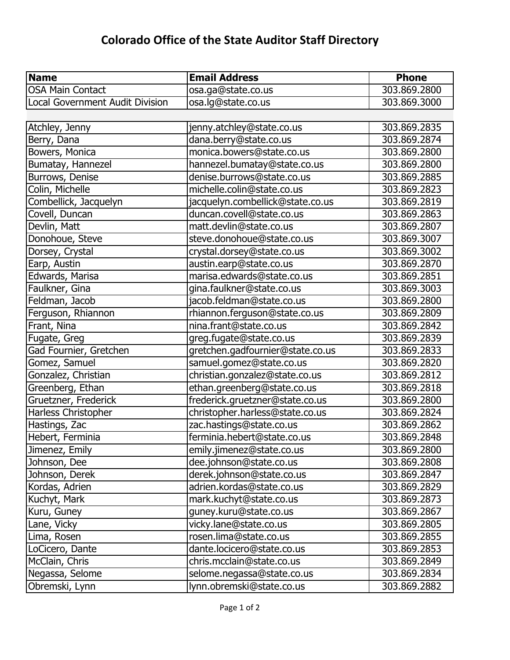## **Colorado Office of the State Auditor Staff Directory**

| <b>Name</b>                            | <b>Email Address</b>             | <b>Phone</b> |
|----------------------------------------|----------------------------------|--------------|
| <b>OSA Main Contact</b>                | osa.ga@state.co.us               | 303.869.2800 |
| <b>Local Government Audit Division</b> | osa.lg@state.co.us               | 303.869.3000 |
|                                        |                                  |              |
| Atchley, Jenny                         | jenny.atchley@state.co.us        | 303.869.2835 |
| Berry, Dana                            | dana.berry@state.co.us           | 303.869.2874 |
| Bowers, Monica                         | monica.bowers@state.co.us        | 303.869.2800 |
| Bumatay, Hannezel                      | hannezel.bumatay@state.co.us     | 303.869.2800 |
| Burrows, Denise                        | denise.burrows@state.co.us       | 303.869.2885 |
| Colin, Michelle                        | michelle.colin@state.co.us       | 303.869.2823 |
| Combellick, Jacquelyn                  | jacquelyn.combellick@state.co.us | 303.869.2819 |
| Covell, Duncan                         | duncan.covell@state.co.us        | 303.869.2863 |
| Devlin, Matt                           | matt.devlin@state.co.us          | 303.869.2807 |
| Donohoue, Steve                        | steve.donohoue@state.co.us       | 303.869.3007 |
| Dorsey, Crystal                        | crystal.dorsey@state.co.us       | 303.869.3002 |
| Earp, Austin                           | austin.earp@state.co.us          | 303.869.2870 |
| Edwards, Marisa                        | marisa.edwards@state.co.us       | 303.869.2851 |
| Faulkner, Gina                         | gina.faulkner@state.co.us        | 303.869.3003 |
| Feldman, Jacob                         | jacob.feldman@state.co.us        | 303.869.2800 |
| Ferguson, Rhiannon                     | rhiannon.ferguson@state.co.us    | 303.869.2809 |
| Frant, Nina                            | nina.frant@state.co.us           | 303.869.2842 |
| Fugate, Greg                           | greg.fugate@state.co.us          | 303.869.2839 |
| Gad Fournier, Gretchen                 | gretchen.gadfournier@state.co.us | 303.869.2833 |
| Gomez, Samuel                          | samuel.gomez@state.co.us         | 303.869.2820 |
| Gonzalez, Christian                    | christian.gonzalez@state.co.us   | 303.869.2812 |
| Greenberg, Ethan                       | ethan.greenberg@state.co.us      | 303.869.2818 |
| Gruetzner, Frederick                   | frederick.gruetzner@state.co.us  | 303.869.2800 |
| Harless Christopher                    | christopher.harless@state.co.us  | 303.869.2824 |
| Hastings, Zac                          | zac.hastings@state.co.us         | 303.869.2862 |
| Hebert, Ferminia                       | ferminia.hebert@state.co.us      | 303.869.2848 |
| Jimenez, Emily                         | emily.jimenez@state.co.us        | 303.869.2800 |
| Johnson, Dee                           | dee.johnson@state.co.us          | 303.869.2808 |
| Johnson, Derek                         | derek.johnson@state.co.us        | 303.869.2847 |
| Kordas, Adrien                         | adrien.kordas@state.co.us        | 303.869.2829 |
| Kuchyt, Mark                           | mark.kuchyt@state.co.us          | 303.869.2873 |
| Kuru, Guney                            | guney.kuru@state.co.us           | 303.869.2867 |
| Lane, Vicky                            | vicky.lane@state.co.us           | 303.869.2805 |
| Lima, Rosen                            | rosen.lima@state.co.us           | 303.869.2855 |
| LoCicero, Dante                        | dante.locicero@state.co.us       | 303.869.2853 |
| McClain, Chris                         | chris.mcclain@state.co.us        | 303.869.2849 |
| Negassa, Selome                        | selome.negassa@state.co.us       | 303.869.2834 |
| Obremski, Lynn                         | lynn.obremski@state.co.us        | 303.869.2882 |